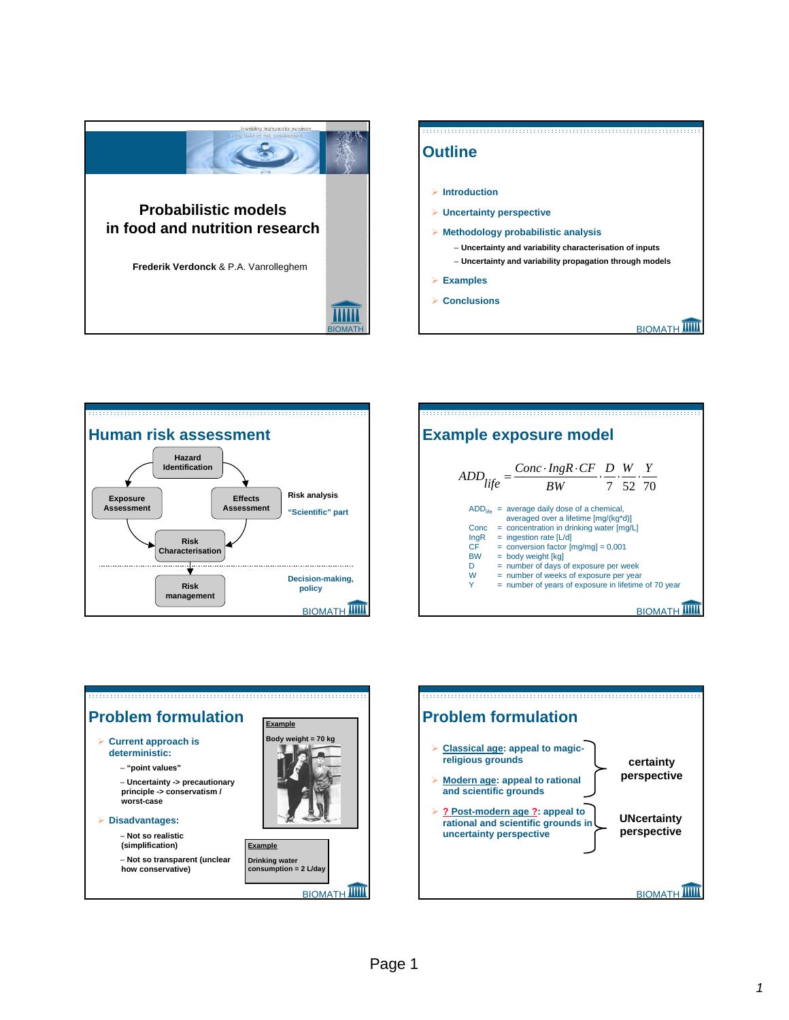









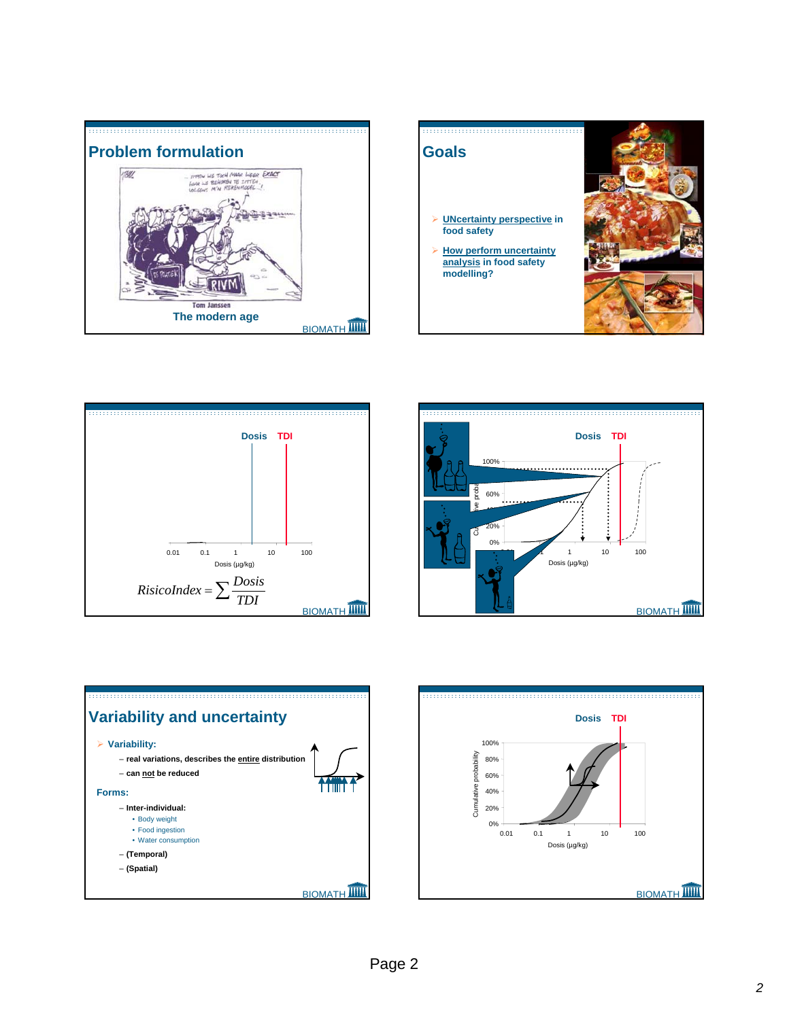









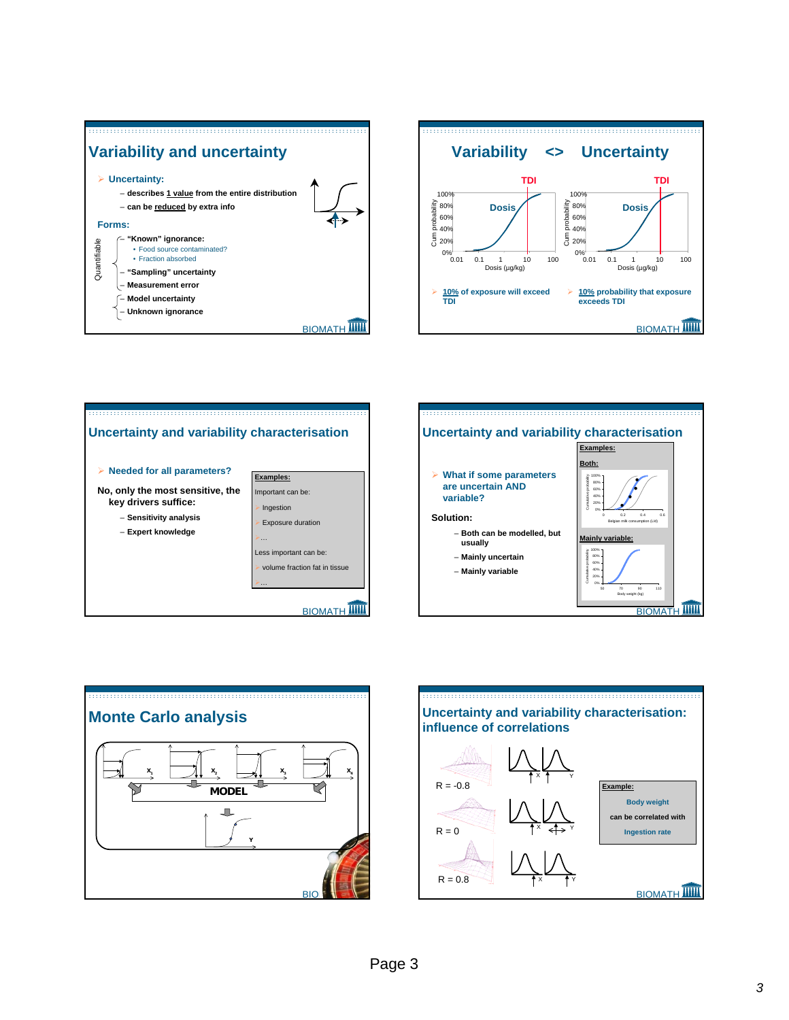